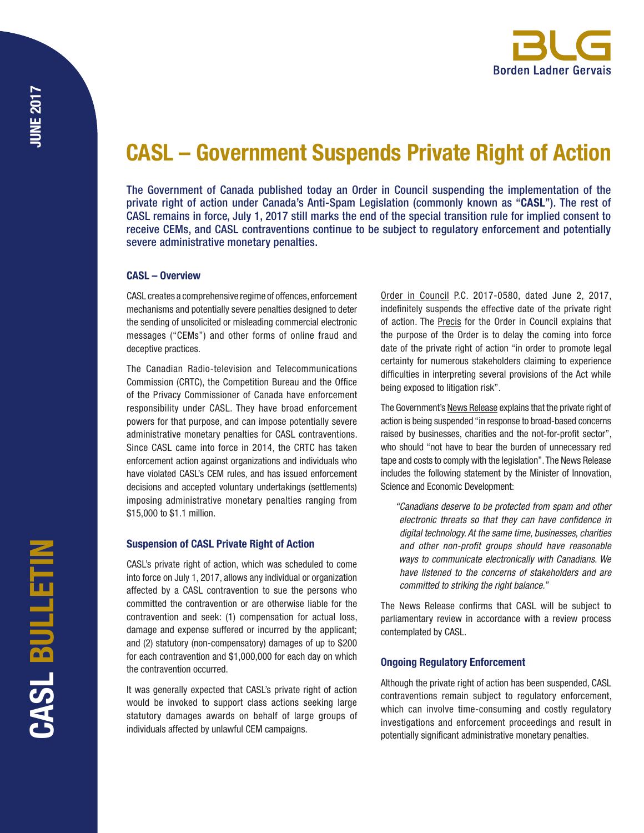

# CASL – Government Suspends Private Right of Action

The Government of Canada published today an Order in Council suspending the implementation of the private right of action under Canada's Anti-Spam Legislation (commonly known as "CASL"). The rest of CASL remains in force, July 1, 2017 still marks the end of the special transition rule for implied consent to receive CEMs, and CASL contraventions continue to be subject to regulatory enforcement and potentially severe administrative monetary penalties.

# CASL – Overview

CASL creates a comprehensive regime of offences, enforcement mechanisms and potentially severe penalties designed to deter the sending of unsolicited or misleading commercial electronic messages ("CEMs") and other forms of online fraud and deceptive practices.

The Canadian Radio-television and Telecommunications Commission (CRTC), the Competition Bureau and the Office of the Privacy Commissioner of Canada have enforcement responsibility under CASL. They have broad enforcement powers for that purpose, and can impose potentially severe administrative monetary penalties for CASL contraventions. Since CASL came into force in 2014, the CRTC has taken enforcement action against organizations and individuals who have violated CASL's CEM rules, and has issued enforcement decisions and accepted voluntary undertakings (settlements) imposing administrative monetary penalties ranging from \$15,000 to \$1.1 million.

# Suspension of CASL Private Right of Action

CASL's private right of action, which was scheduled to come into force on July 1, 2017, allows any individual or organization affected by a CASL contravention to sue the persons who committed the contravention or are otherwise liable for the contravention and seek: (1) compensation for actual loss, damage and expense suffered or incurred by the applicant; and (2) statutory (non-compensatory) damages of up to \$200 for each contravention and \$1,000,000 for each day on which the contravention occurred.

It was generally expected that CASL's private right of action would be invoked to support class actions seeking large statutory damages awards on behalf of large groups of individuals affected by unlawful CEM campaigns.

[Order in Council](http://www.pco-bcp.gc.ca/oic-ddc.asp?lang=eng&txtToDate=&txtPrecis=&Page=&txtOICID=&txtAct=&txtBillNo=&txtFromDate=&txtDepartment=&txtChapterNo=&txtChapterYear=&rdoComingIntoForce=&DoSearch=Search+/+List&pg=6&viewattach=34498&blnDisplayFlg=1) P.C. 2017-0580, dated June 2, 2017, indefinitely suspends the effective date of the private right of action. The [Precis](http://www.pco-bcp.gc.ca/oic-ddc.asp?lang=eng&Page=secretariats&txtOICID=2017-0580&txtFromDate=&txtToDate=&txtPrecis=&txtDepartment=&txtAct=&txtChapterNo=&txtChapterYear=&txtBillNo=&rdoComingIntoForce=&DoSearch=Search+%2F+List) for the Order in Council explains that the purpose of the Order is to delay the coming into force date of the private right of action "in order to promote legal certainty for numerous stakeholders claiming to experience difficulties in interpreting several provisions of the Act while being exposed to litigation risk".

The Government's [News Release](https://www.canada.ca/en/innovation-science-economic-development/news/2017/06/government_of_canadasuspendslawsuitprovisioninanti-spamlegislati.html) explains that the private right of action is being suspended "in response to broad-based concerns raised by businesses, charities and the not-for-profit sector", who should "not have to bear the burden of unnecessary red tape and costs to comply with the legislation". The News Release includes the following statement by the Minister of Innovation, Science and Economic Development:

 *"Canadians deserve to be protected from spam and other electronic threats so that they can have confidence in digital technology. At the same time, businesses, charities and other non-profit groups should have reasonable ways to communicate electronically with Canadians. We have listened to the concerns of stakeholders and are committed to striking the right balance."*

The News Release confirms that CASL will be subject to parliamentary review in accordance with a review process contemplated by CASL.

# Ongoing Regulatory Enforcement

Although the private right of action has been suspended, CASL contraventions remain subject to regulatory enforcement, which can involve time-consuming and costly regulatory investigations and enforcement proceedings and result in potentially significant administrative monetary penalties.